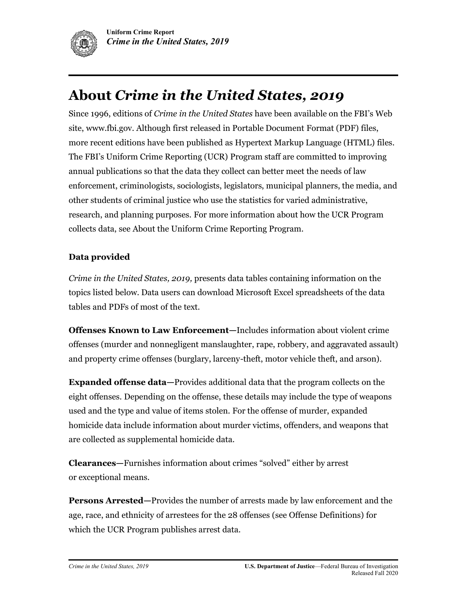

Since 1996, editions of *Crime in the United States* have been available on the FBI's Web site[, www.fbi.gov.](http://www.fbi.gov/) Although first released in Portable Document Format (PDF) files, more recent editions have been published as Hypertext Markup Language (HTML) files. The FBI's Uniform Crime Reporting (UCR) Program staff are committed to improving annual publications so that the data they collect can better meet the needs of law enforcement, criminologists, sociologists, legislators, municipal planners, the media, and other students of criminal justice who use the statistics for varied administrative, research, and planning purposes. For more information about how the UCR Program collects data, see About the Uniform Crime Reporting Program.

#### **Data provided**

*Crime in the United States, 2019,* presents data tables containing information on the topics listed below. Data users can download Microsoft Excel spreadsheets of the data tables and PDFs of most of the text.

**[Offenses Known to Law Enforcement](link%20to%20Offenses%20Known%20page)—**Includes information about violent crime offenses (murder and nonnegligent manslaughter, rape, robbery, and aggravated assault) and property crime offenses (burglary, larceny-theft, motor vehicle theft, and arson).

**Expanded offense data—**Provides additional data that the program collects on the eight offenses. Depending on the offense, these details may include the type of weapons used and the type and value of items stolen. For the offense of murder, expanded homicide data include information about murder victims, offenders, and weapons that are collected as supplemental homicide data.

**[Clearances](link%20to%20Clearances%20page)—**Furnishes information about crimes "solved" either by arrest or exceptional means.

**[Persons Arrested](Link%20to%20Persons%20Arrested%20page)—**Provides the number of arrests made by law enforcement and the age, race, and ethnicity of arrestees for the 28 offenses (see Offense Definitions) for which the UCR Program publishes arrest data.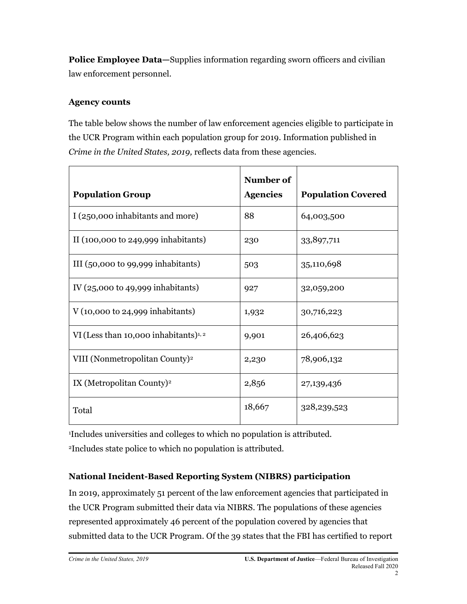**[Police Employee Data](link%20to%20Police%20Employee%20Page)**—Supplies information regarding sworn officers and civilian law enforcement personnel.

#### **Agency counts**

The table below shows the number of law enforcement agencies eligible to participate in the UCR Program within each population group for 2019. Information published in *Crime in the United States, 2019,* reflects data from these agencies.

| <b>Population Group</b>                                | Number of<br><b>Agencies</b> | <b>Population Covered</b> |
|--------------------------------------------------------|------------------------------|---------------------------|
| I (250,000 inhabitants and more)                       | 88                           | 64,003,500                |
| II $(100,000 \text{ to } 249,999 \text{ inhabitants})$ | 230                          | 33,897,711                |
| III $(50,000 \text{ to } 99,999 \text{ inhabitants})$  | 503                          | 35,110,698                |
| IV $(25,000 \text{ to } 49,999 \text{ inhabitants})$   | 927                          | 32,059,200                |
| $V(10,000 \text{ to } 24,999 \text{ inhabitants})$     | 1,932                        | 30,716,223                |
| VI (Less than 10,000 inhabitants) $1, 2$               | 9,901                        | 26,406,623                |
| VIII (Nonmetropolitan County) <sup>2</sup>             | 2,230                        | 78,906,132                |
| IX (Metropolitan County) <sup>2</sup>                  | 2,856                        | 27,139,436                |
| Total                                                  | 18,667                       | 328, 239, 523             |

<sup>1</sup>Includes universities and colleges to which no population is attributed.

<sup>2</sup>Includes state police to which no population is attributed.

## **National Incident-Based Reporting System (NIBRS) participation**

In 2019, approximately 51 percent of the law enforcement agencies that participated in the UCR Program submitted their data via NIBRS. The populations of these agencies represented approximately 46 percent of the population covered by agencies that submitted data to the UCR Program. Of the 39 states that the FBI has certified to report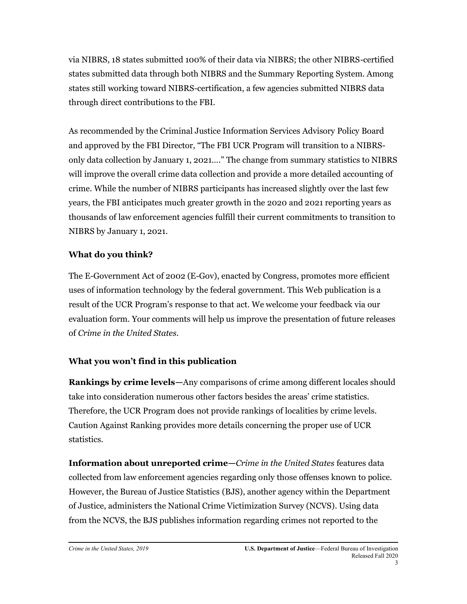via NIBRS, 18 states submitted 100% of their data via NIBRS; the other NIBRS-certified states submitted data through both NIBRS and the Summary Reporting System. Among states still working toward NIBRS-certification, a few agencies submitted NIBRS data through direct contributions to the FBI.

As recommended by the Criminal Justice Information Services Advisory Policy Board and approved by the FBI Director, "The FBI UCR Program will transition to a NIBRSonly data collection by January 1, 2021…." The change from summary statistics to NIBRS will improve the overall crime data collection and provide a more detailed accounting of crime. While the number of NIBRS participants has increased slightly over the last few years, the FBI anticipates much greater growth in the 2020 and 2021 reporting years as thousands of law enforcement agencies fulfill their current commitments to transition to NIBRS by January 1, 2021.

## **What do you think?**

The E-Government Act of 2002 (E-Gov), enacted by Congress, promotes more efficient uses of information technology by the federal government. This Web publication is a result of the UCR Program's response to that act. We welcome your feedback via our evaluation form. Your comments will help us improve the presentation of future releases of *Crime in the United States.*

# **What you won't find in this publication**

**Rankings by crime levels—**Any comparisons of crime among different locales should take into consideration numerous other factors besides the areas' crime statistics. Therefore, the UCR Program does not provide rankings of localities by crime levels. [Caution Against Ranking](Link%20to%20Cautions%20Against%20Ranking%20page) provides more details concerning the proper use of UCR statistics.

**Information about unreported crime—***Crime in the United States* features data collected from law enforcement agencies regarding only those offenses known to police. However, the Bureau of Justice Statistics (BJS), another agency within the Department of Justice, administers the National Crime Victimization Survey (NCVS). Using data from the NCVS, the BJS publishes information regarding crimes not reported to the